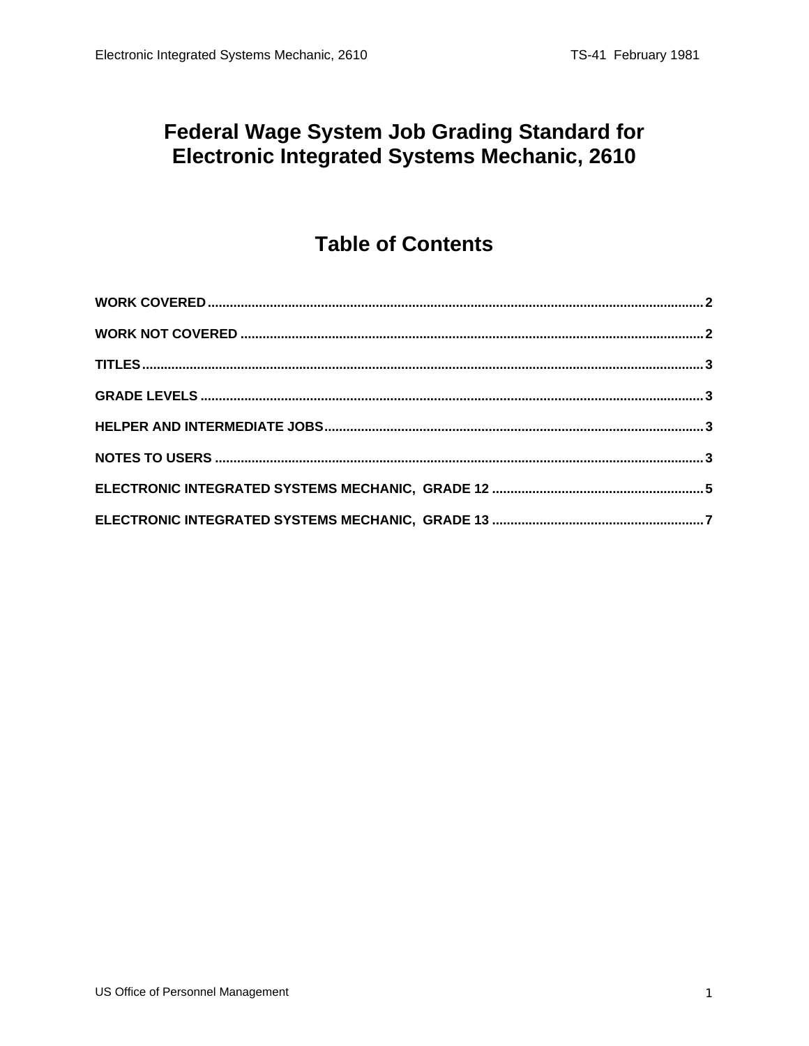### **Federal Wage System Job Grading Standard for Electronic Integrated Systems Mechanic, 2610**

# **Table of Contents**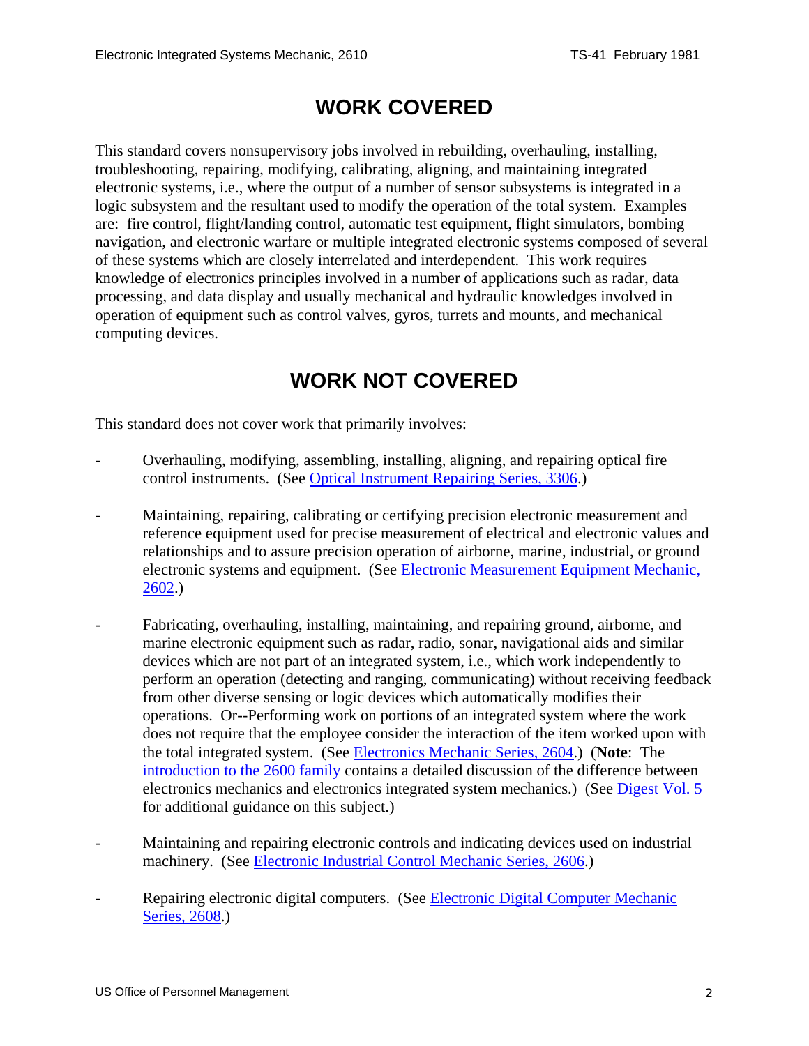## **WORK COVERED**

<span id="page-1-0"></span>This standard covers nonsupervisory jobs involved in rebuilding, overhauling, installing, troubleshooting, repairing, modifying, calibrating, aligning, and maintaining integrated electronic systems, i.e., where the output of a number of sensor subsystems is integrated in a logic subsystem and the resultant used to modify the operation of the total system. Examples are: fire control, flight/landing control, automatic test equipment, flight simulators, bombing navigation, and electronic warfare or multiple integrated electronic systems composed of several of these systems which are closely interrelated and interdependent. This work requires knowledge of electronics principles involved in a number of applications such as radar, data processing, and data display and usually mechanical and hydraulic knowledges involved in operation of equipment such as control valves, gyros, turrets and mounts, and mechanical computing devices.

## **WORK NOT COVERED**

This standard does not cover work that primarily involves:

- Overhauling, modifying, assembling, installing, aligning, and repairing optical fire control instruments. (See Optical Instrument Repairing Series, 3306.)
- Maintaining, repairing, calibrating or certifying precision electronic measurement and reference equipment used for precise measurement of electrical and electronic values and relationships and to assure precision operation of airborne, marine, industrial, or ground electronic systems and equipment. (See Electronic Measurement Equipment Mechanic, 2602.)
- Fabricating, overhauling, installing, maintaining, and repairing ground, airborne, and marine electronic equipment such as radar, radio, sonar, navigational aids and similar devices which are not part of an integrated system, i.e., which work independently to perform an operation (detecting and ranging, communicating) without receiving feedback from other diverse sensing or logic devices which automatically modifies their operations. Or--Performing work on portions of an integrated system where the work does not require that the employee consider the interaction of the item worked upon with the total integrated system. (See Electronics Mechanic Series, 2604.) (**Note**: The introduction to the 2600 family contains a detailed discussion of the difference between electronics mechanics and electronics integrated system mechanics.) (See [Digest Vol. 5](http://www.opm.gov/classapp/digests/digest05.pdf)) for additional guidance on this subject.)
- Maintaining and repairing electronic controls and indicating devices used on industrial machinery. (See Electronic Industrial Control Mechanic Series, 2606.)
- Repairing electronic digital computers. (See Electronic Digital Computer Mechanic Series, 2608.)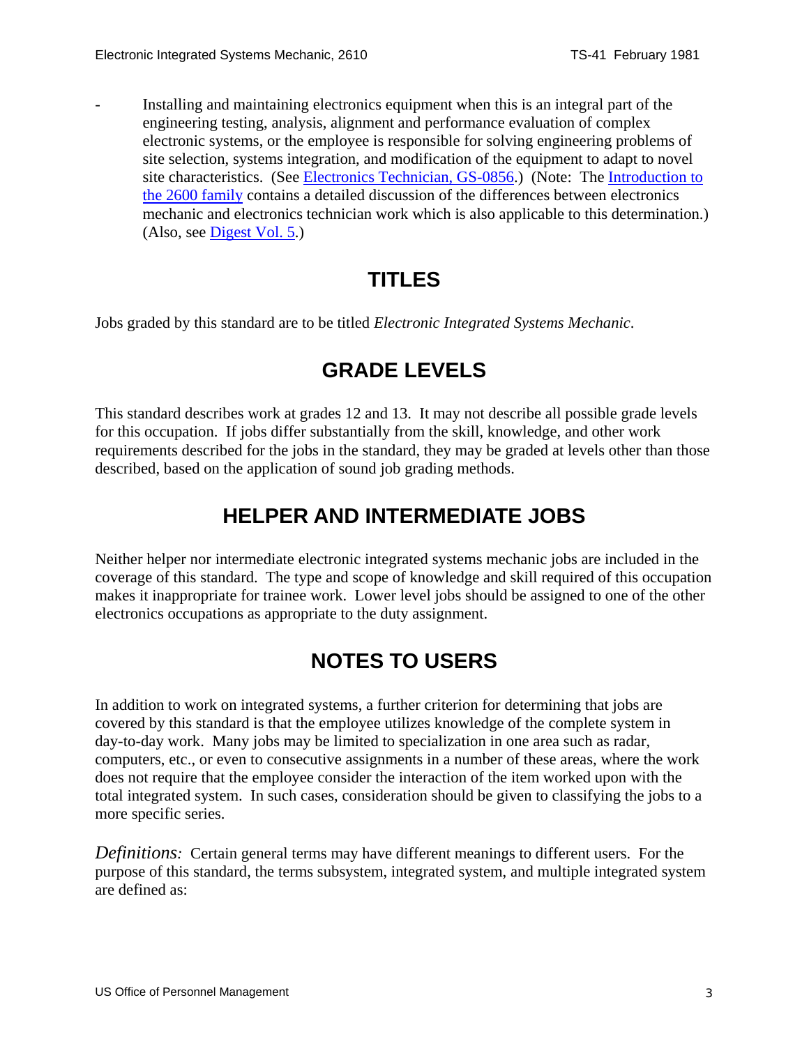<span id="page-2-0"></span>Installing and maintaining electronics equipment when this is an integral part of the engineering testing, analysis, alignment and performance evaluation of complex electronic systems, or the employee is responsible for solving engineering problems of site selection, systems integration, and modification of the equipment to adapt to novel site characteristics. (See Electronics Technician, GS-0856.) (Note: The Introduction to the 2600 family contains a detailed discussion of the differences between electronics mechanic and electronics technician work which is also applicable to this determination.) (Also, see [Digest Vol. 5](http://www.opm.gov/classapp/digests/digest05.pdf).)

#### **TITLES**

Jobs graded by this standard are to be titled *Electronic Integrated Systems Mechanic*.

## **GRADE LEVELS**

This standard describes work at grades 12 and 13. It may not describe all possible grade levels for this occupation. If jobs differ substantially from the skill, knowledge, and other work requirements described for the jobs in the standard, they may be graded at levels other than those described, based on the application of sound job grading methods.

# **HELPER AND INTERMEDIATE JOBS**

Neither helper nor intermediate electronic integrated systems mechanic jobs are included in the coverage of this standard. The type and scope of knowledge and skill required of this occupation makes it inappropriate for trainee work. Lower level jobs should be assigned to one of the other electronics occupations as appropriate to the duty assignment.

# **NOTES TO USERS**

In addition to work on integrated systems, a further criterion for determining that jobs are covered by this standard is that the employee utilizes knowledge of the complete system in day-to-day work. Many jobs may be limited to specialization in one area such as radar, computers, etc., or even to consecutive assignments in a number of these areas, where the work does not require that the employee consider the interaction of the item worked upon with the total integrated system. In such cases, consideration should be given to classifying the jobs to a more specific series.

*Definitions:* Certain general terms may have different meanings to different users. For the purpose of this standard, the terms subsystem, integrated system, and multiple integrated system are defined as: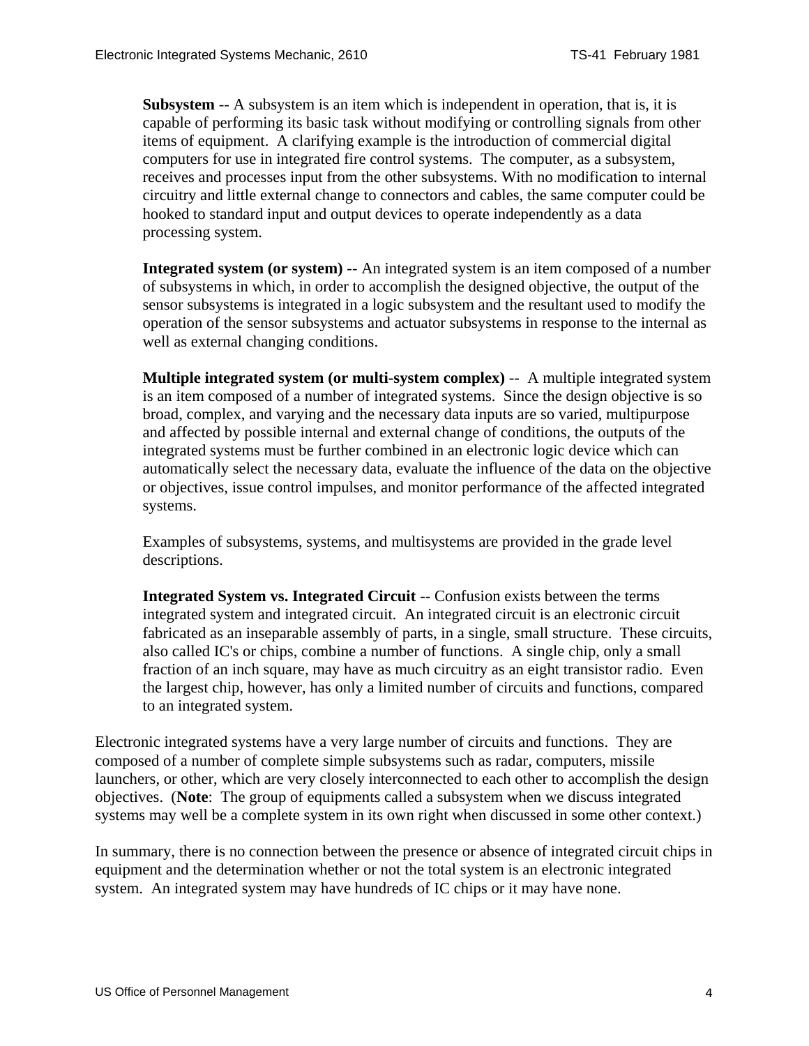**Subsystem** -- A subsystem is an item which is independent in operation, that is, it is capable of performing its basic task without modifying or controlling signals from other items of equipment. A clarifying example is the introduction of commercial digital computers for use in integrated fire control systems. The computer, as a subsystem, receives and processes input from the other subsystems. With no modification to internal circuitry and little external change to connectors and cables, the same computer could be hooked to standard input and output devices to operate independently as a data processing system.

**Integrated system (or system)** -- An integrated system is an item composed of a number of subsystems in which, in order to accomplish the designed objective, the output of the sensor subsystems is integrated in a logic subsystem and the resultant used to modify the operation of the sensor subsystems and actuator subsystems in response to the internal as well as external changing conditions.

**Multiple integrated system (or multi-system complex)** -- A multiple integrated system is an item composed of a number of integrated systems. Since the design objective is so broad, complex, and varying and the necessary data inputs are so varied, multipurpose and affected by possible internal and external change of conditions, the outputs of the integrated systems must be further combined in an electronic logic device which can automatically select the necessary data, evaluate the influence of the data on the objective or objectives, issue control impulses, and monitor performance of the affected integrated systems.

Examples of subsystems, systems, and multisystems are provided in the grade level descriptions.

**Integrated System vs. Integrated Circuit** -- Confusion exists between the terms integrated system and integrated circuit. An integrated circuit is an electronic circuit fabricated as an inseparable assembly of parts, in a single, small structure. These circuits, also called IC's or chips, combine a number of functions. A single chip, only a small fraction of an inch square, may have as much circuitry as an eight transistor radio. Even the largest chip, however, has only a limited number of circuits and functions, compared to an integrated system.

Electronic integrated systems have a very large number of circuits and functions. They are composed of a number of complete simple subsystems such as radar, computers, missile launchers, or other, which are very closely interconnected to each other to accomplish the design objectives. (**Note**: The group of equipments called a subsystem when we discuss integrated systems may well be a complete system in its own right when discussed in some other context.)

In summary, there is no connection between the presence or absence of integrated circuit chips in equipment and the determination whether or not the total system is an electronic integrated system. An integrated system may have hundreds of IC chips or it may have none.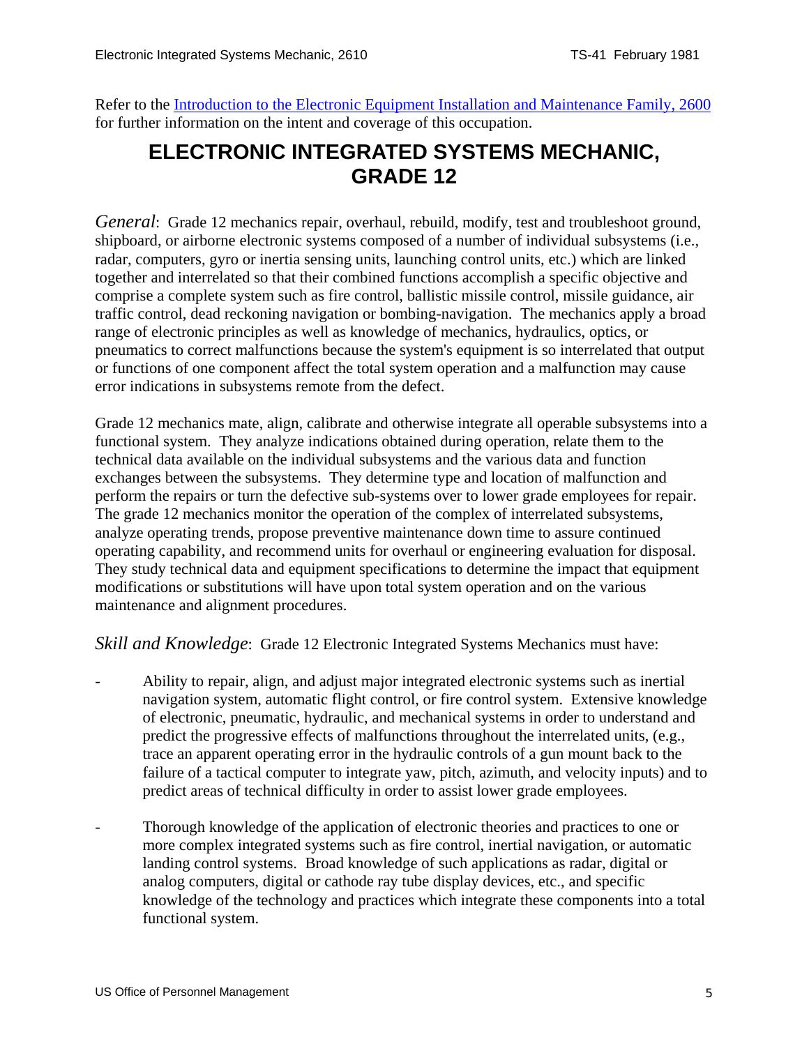<span id="page-4-0"></span>Refer to the Introduction to the Electronic Equipment Installation and Maintenance Family, 2600 for further information on the intent and coverage of this occupation.

#### **ELECTRONIC INTEGRATED SYSTEMS MECHANIC, GRADE 12**

*General*: Grade 12 mechanics repair, overhaul, rebuild, modify, test and troubleshoot ground, shipboard, or airborne electronic systems composed of a number of individual subsystems (i.e., radar, computers, gyro or inertia sensing units, launching control units, etc.) which are linked together and interrelated so that their combined functions accomplish a specific objective and comprise a complete system such as fire control, ballistic missile control, missile guidance, air traffic control, dead reckoning navigation or bombing-navigation. The mechanics apply a broad range of electronic principles as well as knowledge of mechanics, hydraulics, optics, or pneumatics to correct malfunctions because the system's equipment is so interrelated that output or functions of one component affect the total system operation and a malfunction may cause error indications in subsystems remote from the defect.

Grade 12 mechanics mate, align, calibrate and otherwise integrate all operable subsystems into a functional system. They analyze indications obtained during operation, relate them to the technical data available on the individual subsystems and the various data and function exchanges between the subsystems. They determine type and location of malfunction and perform the repairs or turn the defective sub-systems over to lower grade employees for repair. The grade 12 mechanics monitor the operation of the complex of interrelated subsystems, analyze operating trends, propose preventive maintenance down time to assure continued operating capability, and recommend units for overhaul or engineering evaluation for disposal. They study technical data and equipment specifications to determine the impact that equipment modifications or substitutions will have upon total system operation and on the various maintenance and alignment procedures.

*Skill and Knowledge*: Grade 12 Electronic Integrated Systems Mechanics must have:

- Ability to repair, align, and adjust major integrated electronic systems such as inertial navigation system, automatic flight control, or fire control system. Extensive knowledge of electronic, pneumatic, hydraulic, and mechanical systems in order to understand and predict the progressive effects of malfunctions throughout the interrelated units, (e.g., trace an apparent operating error in the hydraulic controls of a gun mount back to the failure of a tactical computer to integrate yaw, pitch, azimuth, and velocity inputs) and to predict areas of technical difficulty in order to assist lower grade employees.
- Thorough knowledge of the application of electronic theories and practices to one or more complex integrated systems such as fire control, inertial navigation, or automatic landing control systems. Broad knowledge of such applications as radar, digital or analog computers, digital or cathode ray tube display devices, etc., and specific knowledge of the technology and practices which integrate these components into a total functional system.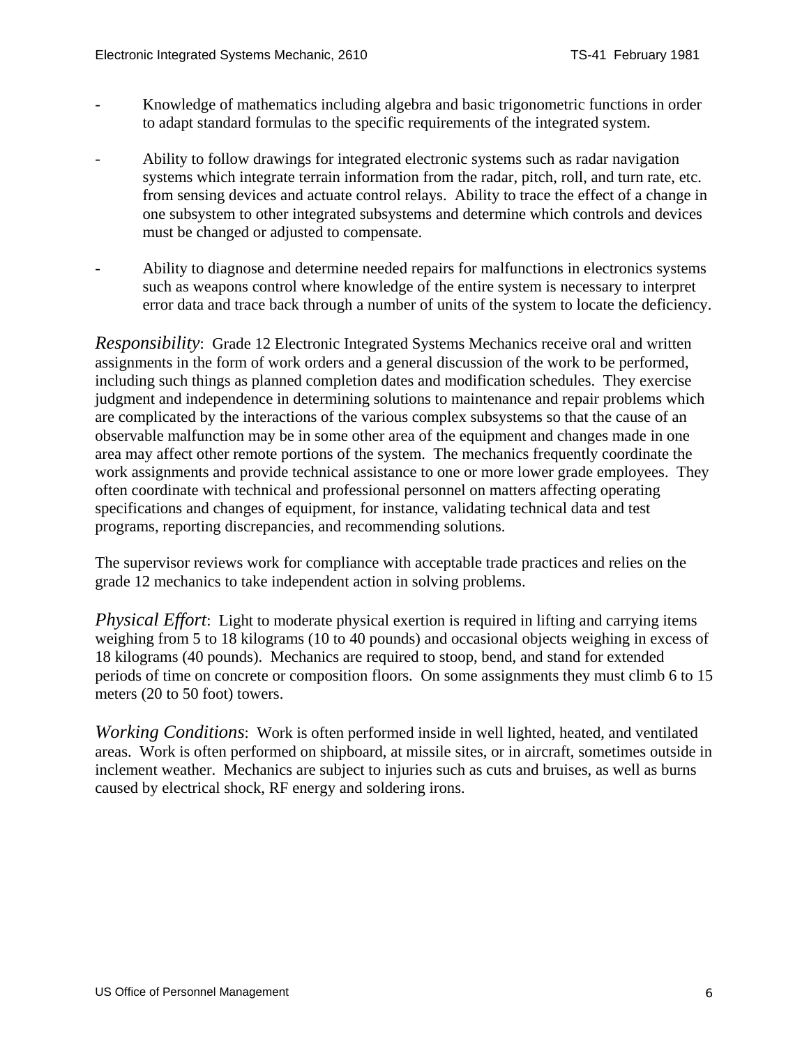- Knowledge of mathematics including algebra and basic trigonometric functions in order to adapt standard formulas to the specific requirements of the integrated system.
- Ability to follow drawings for integrated electronic systems such as radar navigation systems which integrate terrain information from the radar, pitch, roll, and turn rate, etc. from sensing devices and actuate control relays. Ability to trace the effect of a change in one subsystem to other integrated subsystems and determine which controls and devices must be changed or adjusted to compensate.
- Ability to diagnose and determine needed repairs for malfunctions in electronics systems such as weapons control where knowledge of the entire system is necessary to interpret error data and trace back through a number of units of the system to locate the deficiency.

*Responsibility*: Grade 12 Electronic Integrated Systems Mechanics receive oral and written assignments in the form of work orders and a general discussion of the work to be performed, including such things as planned completion dates and modification schedules. They exercise judgment and independence in determining solutions to maintenance and repair problems which are complicated by the interactions of the various complex subsystems so that the cause of an observable malfunction may be in some other area of the equipment and changes made in one area may affect other remote portions of the system. The mechanics frequently coordinate the work assignments and provide technical assistance to one or more lower grade employees. They often coordinate with technical and professional personnel on matters affecting operating specifications and changes of equipment, for instance, validating technical data and test programs, reporting discrepancies, and recommending solutions.

The supervisor reviews work for compliance with acceptable trade practices and relies on the grade 12 mechanics to take independent action in solving problems.

*Physical Effort*: Light to moderate physical exertion is required in lifting and carrying items weighing from 5 to 18 kilograms (10 to 40 pounds) and occasional objects weighing in excess of 18 kilograms (40 pounds). Mechanics are required to stoop, bend, and stand for extended periods of time on concrete or composition floors. On some assignments they must climb 6 to 15 meters (20 to 50 foot) towers.

*Working Conditions*: Work is often performed inside in well lighted, heated, and ventilated areas. Work is often performed on shipboard, at missile sites, or in aircraft, sometimes outside in inclement weather. Mechanics are subject to injuries such as cuts and bruises, as well as burns caused by electrical shock, RF energy and soldering irons.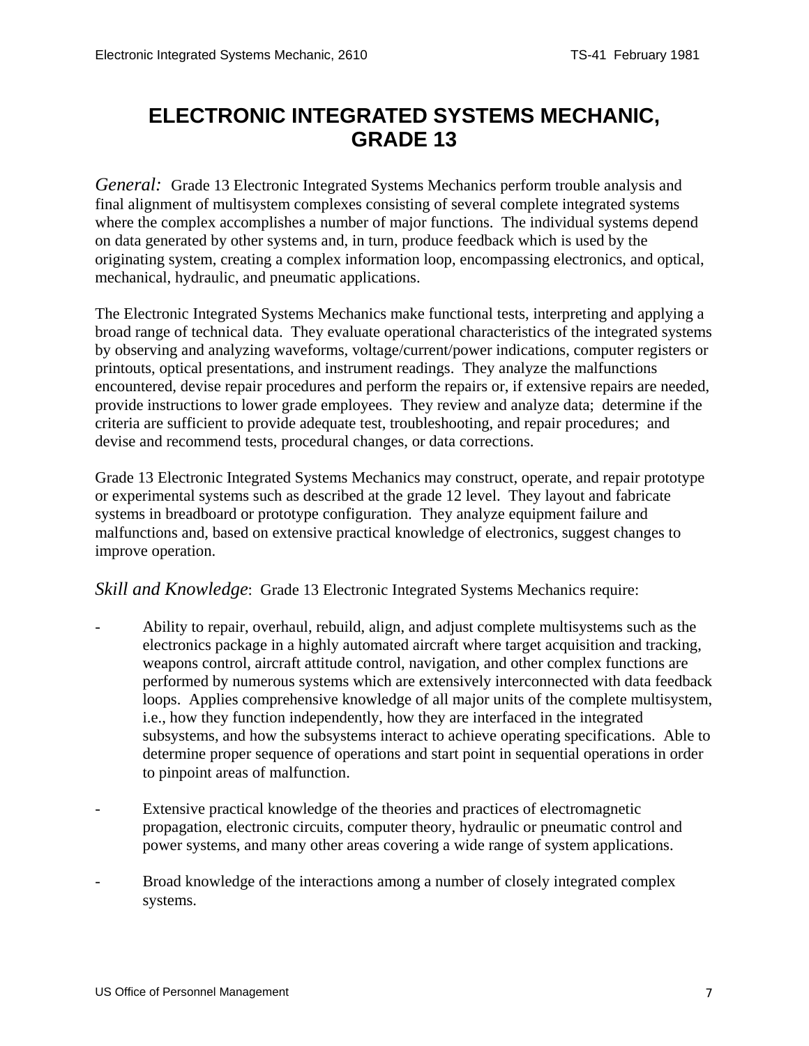#### <span id="page-6-0"></span>**ELECTRONIC INTEGRATED SYSTEMS MECHANIC, GRADE 13**

*General:* Grade 13 Electronic Integrated Systems Mechanics perform trouble analysis and final alignment of multisystem complexes consisting of several complete integrated systems where the complex accomplishes a number of major functions. The individual systems depend on data generated by other systems and, in turn, produce feedback which is used by the originating system, creating a complex information loop, encompassing electronics, and optical, mechanical, hydraulic, and pneumatic applications.

The Electronic Integrated Systems Mechanics make functional tests, interpreting and applying a broad range of technical data. They evaluate operational characteristics of the integrated systems by observing and analyzing waveforms, voltage/current/power indications, computer registers or printouts, optical presentations, and instrument readings. They analyze the malfunctions encountered, devise repair procedures and perform the repairs or, if extensive repairs are needed, provide instructions to lower grade employees. They review and analyze data; determine if the criteria are sufficient to provide adequate test, troubleshooting, and repair procedures; and devise and recommend tests, procedural changes, or data corrections.

Grade 13 Electronic Integrated Systems Mechanics may construct, operate, and repair prototype or experimental systems such as described at the grade 12 level. They layout and fabricate systems in breadboard or prototype configuration. They analyze equipment failure and malfunctions and, based on extensive practical knowledge of electronics, suggest changes to improve operation.

*Skill and Knowledge*: Grade 13 Electronic Integrated Systems Mechanics require:

- Ability to repair, overhaul, rebuild, align, and adjust complete multisystems such as the electronics package in a highly automated aircraft where target acquisition and tracking, weapons control, aircraft attitude control, navigation, and other complex functions are performed by numerous systems which are extensively interconnected with data feedback loops. Applies comprehensive knowledge of all major units of the complete multisystem, i.e., how they function independently, how they are interfaced in the integrated subsystems, and how the subsystems interact to achieve operating specifications. Able to determine proper sequence of operations and start point in sequential operations in order to pinpoint areas of malfunction.
- Extensive practical knowledge of the theories and practices of electromagnetic propagation, electronic circuits, computer theory, hydraulic or pneumatic control and power systems, and many other areas covering a wide range of system applications.
- Broad knowledge of the interactions among a number of closely integrated complex systems.